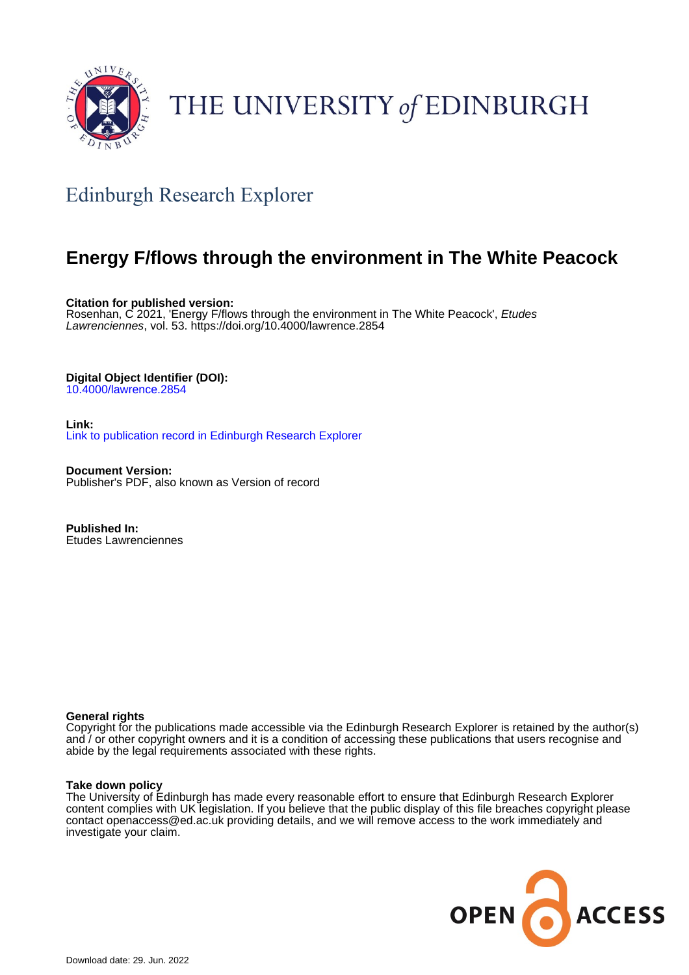

## THE UNIVERSITY of EDINBURGH

### Edinburgh Research Explorer

### **Energy F/flows through the environment in The White Peacock**

**Citation for published version:** Rosenhan, C 2021, 'Energy F/flows through the environment in The White Peacock', Etudes Lawrenciennes, vol. 53. <https://doi.org/10.4000/lawrence.2854>

#### **Digital Object Identifier (DOI):**

[10.4000/lawrence.2854](https://doi.org/10.4000/lawrence.2854)

**Link:** [Link to publication record in Edinburgh Research Explorer](https://www.research.ed.ac.uk/en/publications/ae26b9ea-df39-4967-8663-5fb016fc1f7e)

**Document Version:** Publisher's PDF, also known as Version of record

**Published In:** Etudes Lawrenciennes

#### **General rights**

Copyright for the publications made accessible via the Edinburgh Research Explorer is retained by the author(s) and / or other copyright owners and it is a condition of accessing these publications that users recognise and abide by the legal requirements associated with these rights.

#### **Take down policy**

The University of Edinburgh has made every reasonable effort to ensure that Edinburgh Research Explorer content complies with UK legislation. If you believe that the public display of this file breaches copyright please contact openaccess@ed.ac.uk providing details, and we will remove access to the work immediately and investigate your claim.

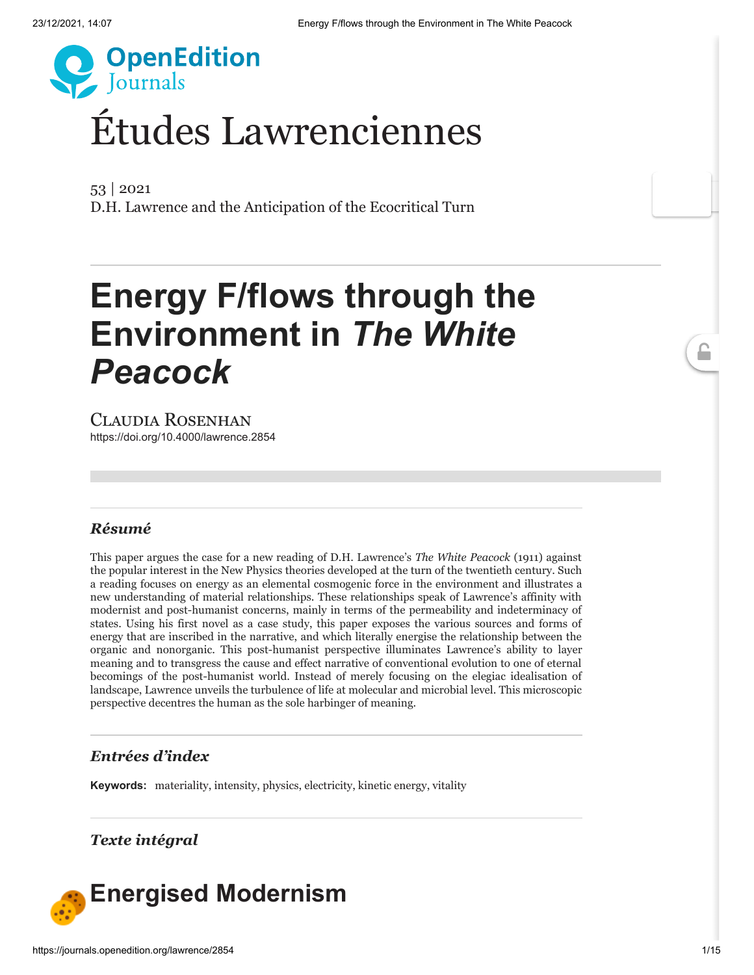

# Études [Lawrenciennes](http://journals.openedition.org/lawrence)

53 | 2021 [D.H. Lawrence and the Anticipation of the Ecocritical Turn](https://journals.openedition.org/lawrence/2510)

# **Energy F/flows through the Environment in** *The White Peacock*

Claudia Rosenhan <https://doi.org/10.4000/lawrence.2854>

#### *Résumé*

This paper argues the case for a new reading of D.H. Lawrence's *The White Peacock* (1911) against the popular interest in the New Physics theories developed at the turn of the twentieth century. Such a reading focuses on energy as an elemental cosmogenic force in the environment and illustrates a new understanding of material relationships. These relationships speak of Lawrence's affinity with modernist and post-humanist concerns, mainly in terms of the permeability and indeterminacy of states. Using his first novel as a case study, this paper exposes the various sources and forms of energy that are inscribed in the narrative, and which literally energise the relationship between the organic and nonorganic. This post-humanist perspective illuminates Lawrence's ability to layer meaning and to transgress the cause and effect narrative of conventional evolution to one of eternal becomings of the post-humanist world. Instead of merely focusing on the elegiac idealisation of landscape, Lawrence unveils the turbulence of life at molecular and microbial level. This microscopic perspective decentres the human as the sole harbinger of meaning.

#### *Entrées d'index*

**Keywords:** [materiality](https://journals.openedition.org/lawrence/2972), [intensity,](https://journals.openedition.org/lawrence/852) [physics,](https://journals.openedition.org/lawrence/2977) [electricity](https://journals.openedition.org/lawrence/2982), [kinetic energy,](https://journals.openedition.org/lawrence/2987) [vitality](https://journals.openedition.org/lawrence/2992)

#### *Texte intégral*

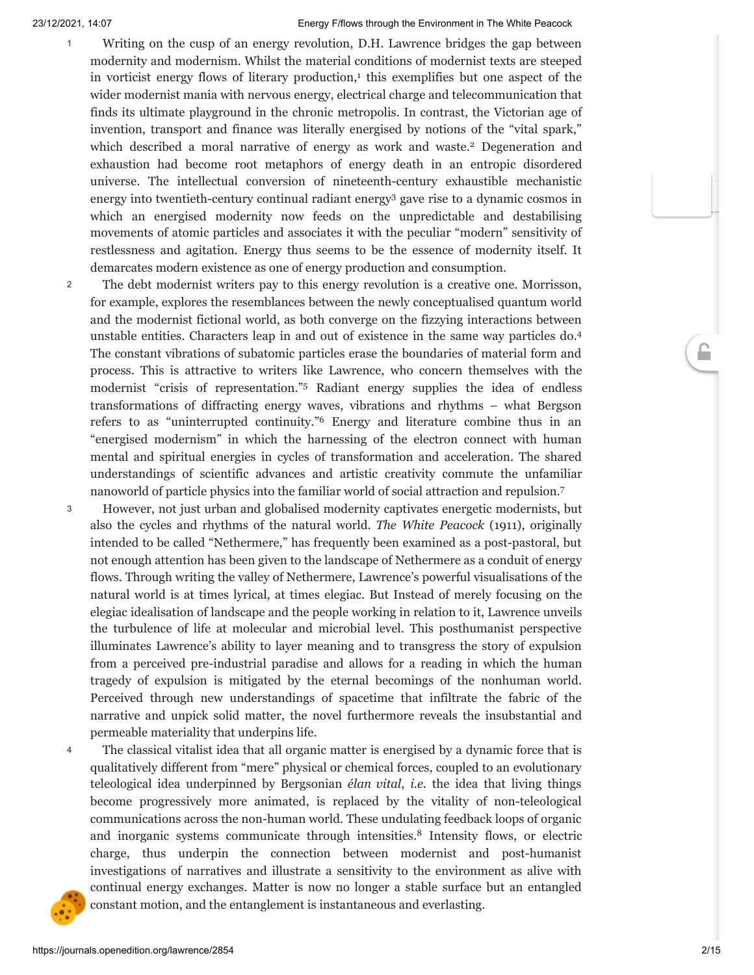- <span id="page-2-1"></span><span id="page-2-0"></span>Writing on the cusp of an energy revolution, D.H. Lawrence bridges the gap between modernity and modernism. Whilst the material conditions of modernist texts are steeped in vorticist energy flows of literary production, [1](#page-12-0) this exemplifies but one aspect of the wider modernist mania with nervous energy, electrical charge and telecommunication that finds its ultimate playground in the chronic metropolis. In contrast, the Victorian age of invention, transport and finance was literally energised by notions of the "vital spark," which described a moral narrative of energy as work and waste. [2](#page-12-1) Degeneration and exhaustion had become root metaphors of energy death in an entropic disordered universe. The intellectual conversion of nineteenth-century exhaustible mechanistic energy into twentieth-century continual radiant energy [3](#page-12-2) gave rise to a dynamic cosmos in which an energised modernity now feeds on the unpredictable and destabilising movements of atomic particles and associates it with the peculiar "modern" sensitivity of restlessness and agitation. Energy thus seems to be the essence of modernity itself. It demarcates modern existence as one of energy production and consumption.
- <span id="page-2-4"></span><span id="page-2-3"></span><span id="page-2-2"></span>The debt modernist writers pay to this energy revolution is a creative one. Morrisson, for example, explores the resemblances between the newly conceptualised quantum world and the modernist fictional world, as both converge on the fizzying interactions between unstable entities. Characters leap in and out of existence in the same way particles do. [4](#page-12-3) The constant vibrations of subatomic particles erase the boundaries of material form and process. This is attractive to writers like Lawrence, who concern themselves with the modernist "crisis of representation." [5](#page-12-4) Radiant energy supplies the idea of endless transformations of diffracting energy waves, vibrations and rhythms – what Bergson refers to as "uninterrupted continuity." [6](#page-12-5) Energy and literature combine thus in an "energised modernism" in which the harnessing of the electron connect with human mental and spiritual energies in cycles of transformation and acceleration. The shared understandings of scientific advances and artistic creativity commute the unfamiliar nanoworld of particle physics into the familiar world of social attraction and repulsion. [7](#page-12-6) 2
- <span id="page-2-6"></span><span id="page-2-5"></span>However, not just urban and globalised modernity captivates energetic modernists, but also the cycles and rhythms of the natural world. *The White Peacock* (1911), originally intended to be called "Nethermere," has frequently been examined as a post-pastoral, but not enough attention has been given to the landscape of Nethermere as a conduit of energy flows. Through writing the valley of Nethermere, Lawrence's powerful visualisations of the natural world is at times lyrical, at times elegiac. But Instead of merely focusing on the elegiac idealisation of landscape and the people working in relation to it, Lawrence unveils the turbulence of life at molecular and microbial level. This posthumanist perspective illuminates Lawrence's ability to layer meaning and to transgress the story of expulsion from a perceived pre-industrial paradise and allows for a reading in which the human tragedy of expulsion is mitigated by the eternal becomings of the nonhuman world. Perceived through new understandings of spacetime that infiltrate the fabric of the narrative and unpick solid matter, the novel furthermore reveals the insubstantial and permeable materiality that underpins life. 3
- <span id="page-2-7"></span>The classical vitalist idea that all organic matter is energised by a dynamic force that is qualitatively different from "mere" physical or chemical forces, coupled to an evolutionary teleological idea underpinned by Bergsonian *élan vital*, *i.e.* the idea that living things become progressively more animated, is replaced by the vitality of non-teleological communications across the non-human world. These undulating feedback loops of organic and inorganic systems communicate through intensities. [8](#page-12-7) Intensity flows, or electric charge, thus underpin the connection between modernist and post-humanist investigations of narratives and illustrate a sensitivity to the environment as alive with continual energy exchanges. Matter is now no longer a stable surface but an entangled constant motion, and the entanglement is instantaneous and everlasting. 4

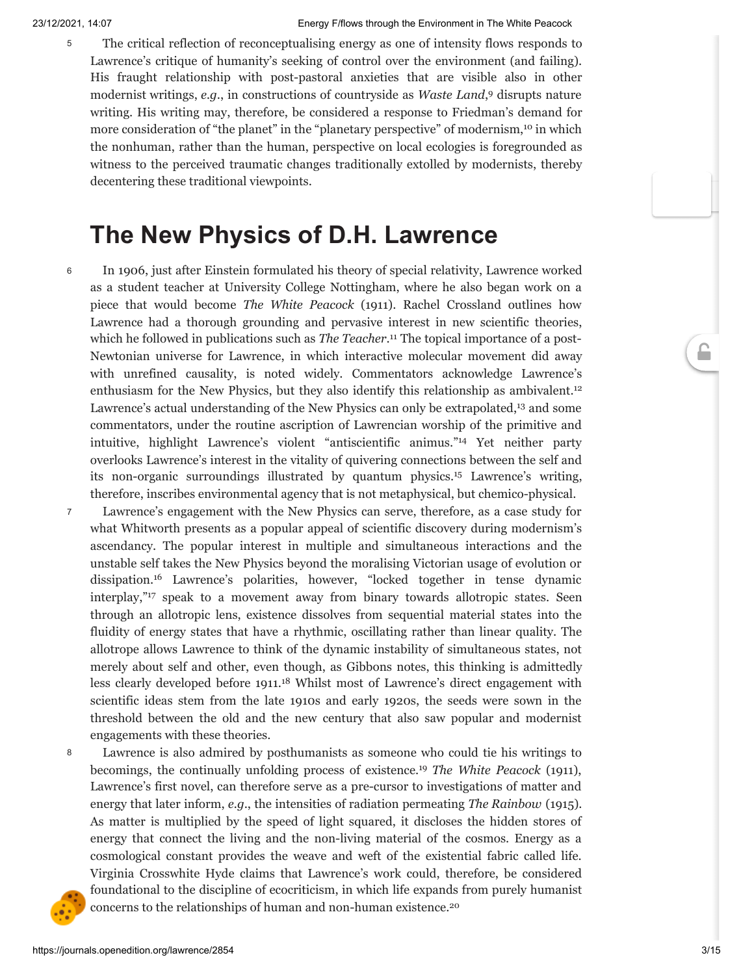<span id="page-3-0"></span>The critical reflection of reconceptualising energy as one of intensity flows responds to Lawrence's critique of humanity's seeking of control over the environment (and failing). His fraught relationship with post-pastoral anxieties that are visible also in other modernist writings, *e.g*., in constructions of countryside as *Waste Land*, [9](#page-12-8) disrupts nature writing. His writing may, therefore, be considered a response to Friedman's demand for more consideration of "the planet" in the "planetary perspective" of modernism,<sup>[10](#page-12-9)</sup> in which the nonhuman, rather than the human, perspective on local ecologies is foregrounded as witness to the perceived traumatic changes traditionally extolled by modernists, thereby decentering these traditional viewpoints.

### <span id="page-3-1"></span>**The New Physics of D.H. Lawrence**

6

<span id="page-3-3"></span><span id="page-3-2"></span>In 1906, just after Einstein formulated his theory of special relativity, Lawrence worked as a student teacher at University College Nottingham, where he also began work on a piece that would become *The White Peacock* (1911). Rachel Crossland outlines how Lawrence had a thorough grounding and pervasive interest in new scientific theories, which he followed in publications such as *The Teacher*. [11](#page-12-10) The topical importance of a post-Newtonian universe for Lawrence, in which interactive molecular movement did away with unrefined causality, is noted widely. Commentators acknowledge Lawrence's enthusiasm for the New Physics, but they also identify this relationship as ambivalent.<sup>[12](#page-12-11)</sup> Lawrence's actual understanding of the New Physics can only be extrapolated, [13](#page-12-12) and some commentators, under the routine ascription of Lawrencian worship of the primitive and intuitive, highlight Lawrence's violent "antiscientific animus." [14](#page-12-13) Yet neither party overlooks Lawrence's interest in the vitality of quivering connections between the self and its non-organic surroundings illustrated by quantum physics. [15](#page-12-14) Lawrence's writing, therefore, inscribes environmental agency that is not metaphysical, but chemico-physical.

- <span id="page-3-8"></span><span id="page-3-7"></span><span id="page-3-6"></span><span id="page-3-5"></span><span id="page-3-4"></span>Lawrence's engagement with the New Physics can serve, therefore, as a case study for what Whitworth presents as a popular appeal of scientific discovery during modernism's ascendancy. The popular interest in multiple and simultaneous interactions and the unstable self takes the New Physics beyond the moralising Victorian usage of evolution or dissipation. [16](#page-13-0) Lawrence's polarities, however, "locked together in tense dynamic interplay," [17](#page-13-1) speak to a movement away from binary towards allotropic states. Seen through an allotropic lens, existence dissolves from sequential material states into the fluidity of energy states that have a rhythmic, oscillating rather than linear quality. The allotrope allows Lawrence to think of the dynamic instability of simultaneous states, not merely about self and other, even though, as Gibbons notes, this thinking is admittedly less clearly developed before 1911. [18](#page-13-2) Whilst most of Lawrence's direct engagement with scientific ideas stem from the late 1910s and early 1920s, the seeds were sown in the threshold between the old and the new century that also saw popular and modernist engagements with these theories.
- 8

7

<span id="page-3-11"></span><span id="page-3-10"></span><span id="page-3-9"></span>Lawrence is also admired by posthumanists as someone who could tie his writings to becomings, the continually unfolding process of existence. [19](#page-13-3) *The White Peacock* (1911), Lawrence's first novel, can therefore serve as a pre-cursor to investigations of matter and energy that later inform, *e.g*., the intensities of radiation permeating *The Rainbow* (1915). As matter is multiplied by the speed of light squared, it discloses the hidden stores of energy that connect the living and the non-living material of the cosmos. Energy as a cosmological constant provides the weave and weft of the existential fabric called life. Virginia Crosswhite Hyde claims that Lawrence's work could, therefore, be considered foundational to the discipline of ecocriticism, in which life expands from purely humanist concerns to the relationships of human and non-human existence. [20](#page-13-4)

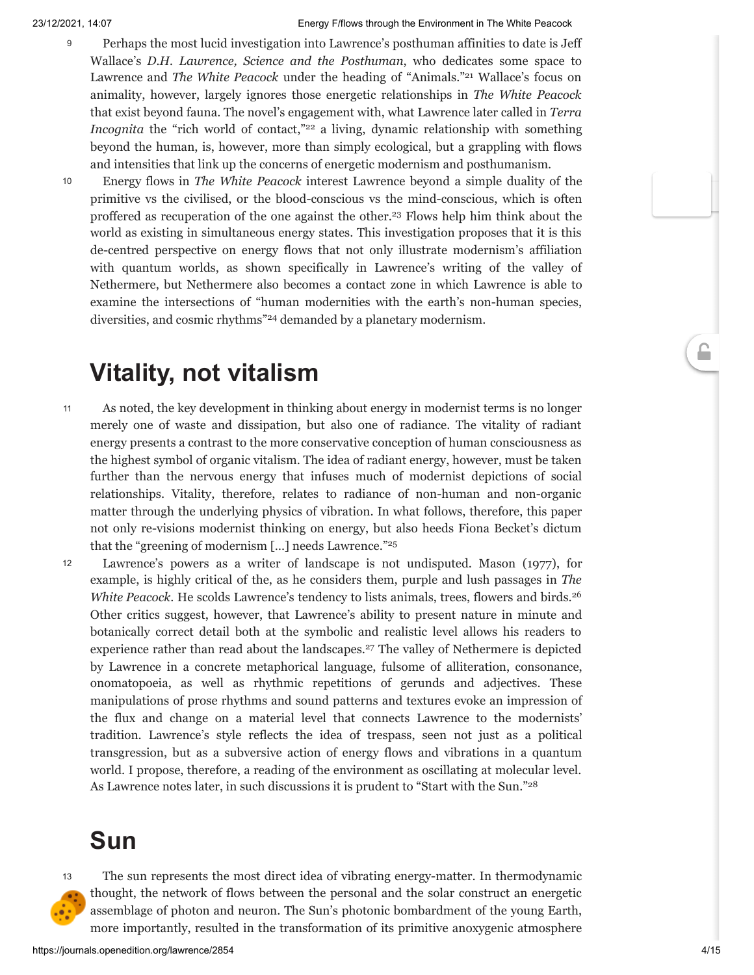- Perhaps the most lucid investigation into Lawrence's posthuman affinities to date is Jeff Wallace's *D.H. Lawrence, Science and the Posthuman*, who dedicates some space to Lawrence and *The White Peacock* under the heading of "Animals." [21](#page-13-5) Wallace's focus on animality, however, largely ignores those energetic relationships in *The White Peacock* that exist beyond fauna. The novel's engagement with, what Lawrence later called in *Terra Incognita* the "rich world of contact,"<sup>[22](#page-13-6)</sup> a living, dynamic relationship with something beyond the human, is, however, more than simply ecological, but a grappling with flows and intensities that link up the concerns of energetic modernism and posthumanism. 9
- 10

<span id="page-4-2"></span><span id="page-4-1"></span><span id="page-4-0"></span>Energy flows in *The White Peacock* interest Lawrence beyond a simple duality of the primitive vs the civilised, or the blood-conscious vs the mind-conscious, which is often proffered as recuperation of the one against the other. [23](#page-13-7) Flows help him think about the world as existing in simultaneous energy states. This investigation proposes that it is this de-centred perspective on energy flows that not only illustrate modernism's affiliation with quantum worlds, as shown specifically in Lawrence's writing of the valley of Nethermere, but Nethermere also becomes a contact zone in which Lawrence is able to examine the intersections of "human modernities with the earth's non-human species, diversities, and cosmic rhythms" [24](#page-13-8) demanded by a planetary modernism.

### <span id="page-4-3"></span>**Vitality, not vitalism**

- As noted, the key development in thinking about energy in modernist terms is no longer merely one of waste and dissipation, but also one of radiance. The vitality of radiant energy presents a contrast to the more conservative conception of human consciousness as the highest symbol of organic vitalism. The idea of radiant energy, however, must be taken further than the nervous energy that infuses much of modernist depictions of social relationships. Vitality, therefore, relates to radiance of non-human and non-organic matter through the underlying physics of vibration. In what follows, therefore, this paper not only re-visions modernist thinking on energy, but also heeds Fiona Becket's dictum that the "greening of modernism […] needs Lawrence." [25](#page-13-9) 11
- <span id="page-4-6"></span><span id="page-4-5"></span><span id="page-4-4"></span>Lawrence's powers as a writer of landscape is not undisputed. Mason (1977), for example, is highly critical of the, as he considers them, purple and lush passages in *The White Peacock*. He scolds Lawrence's tendency to lists animals, trees, flowers and birds. [26](#page-13-10) Other critics suggest, however, that Lawrence's ability to present nature in minute and botanically correct detail both at the symbolic and realistic level allows his readers to experience rather than read about the landscapes. [27](#page-13-11) The valley of Nethermere is depicted by Lawrence in a concrete metaphorical language, fulsome of alliteration, consonance, onomatopoeia, as well as rhythmic repetitions of gerunds and adjectives. These manipulations of prose rhythms and sound patterns and textures evoke an impression of the flux and change on a material level that connects Lawrence to the modernists' tradition. Lawrence's style reflects the idea of trespass, seen not just as a political transgression, but as a subversive action of energy flows and vibrations in a quantum world. I propose, therefore, a reading of the environment as oscillating at molecular level. As Lawrence notes later, in such discussions it is prudent to "Start with the Sun." [28](#page-13-12) 12

### <span id="page-4-7"></span>**Sun**



The sun represents the most direct idea of vibrating energy-matter. In thermodynamic thought, the network of flows between the personal and the solar construct an energetic assemblage of photon and neuron. The Sun's photonic bombardment of the young Earth, more importantly, resulted in the transformation of its primitive anoxygenic atmosphere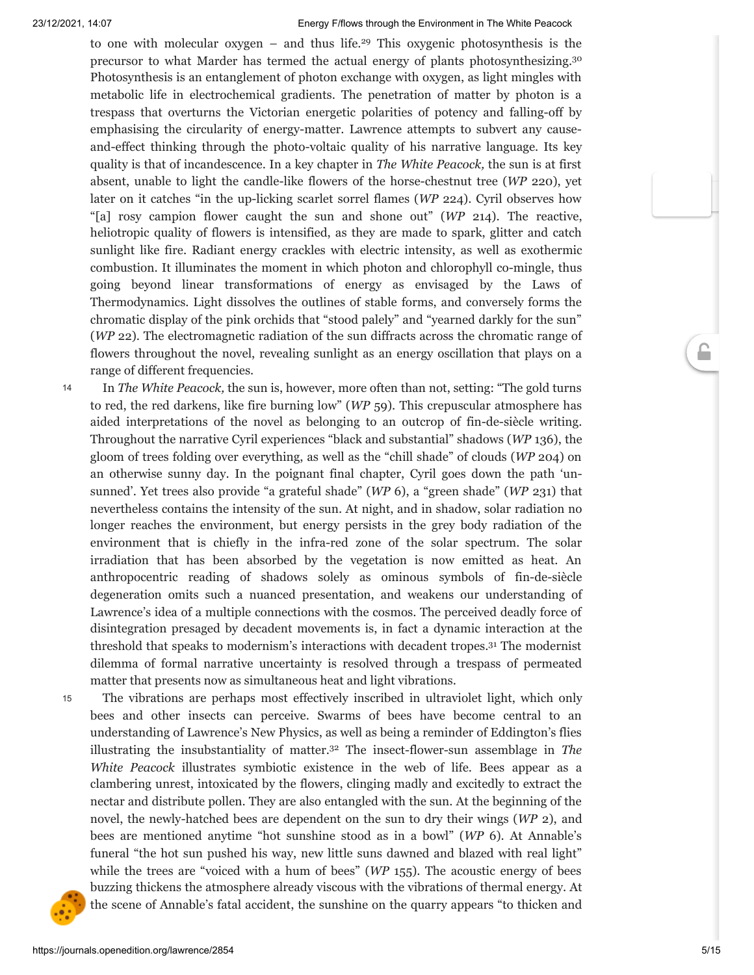<span id="page-5-1"></span><span id="page-5-0"></span>to one with molecular oxygen – and thus life. [29](#page-13-13) This oxygenic photosynthesis is the precursor to what Marder has termed the actual energy of plants photosynthesizing.<sup>[30](#page-13-14)</sup> Photosynthesis is an entanglement of photon exchange with oxygen, as light mingles with metabolic life in electrochemical gradients. The penetration of matter by photon is a trespass that overturns the Victorian energetic polarities of potency and falling-off by emphasising the circularity of energy-matter. Lawrence attempts to subvert any causeand-effect thinking through the photo-voltaic quality of his narrative language. Its key quality is that of incandescence. In a key chapter in *The White Peacock,* the sun is at first absent, unable to light the candle-like flowers of the horse-chestnut tree (*WP* 220), yet later on it catches "in the up-licking scarlet sorrel flames (*WP* 224). Cyril observes how "[a] rosy campion flower caught the sun and shone out" (*WP* 214). The reactive, heliotropic quality of flowers is intensified, as they are made to spark, glitter and catch sunlight like fire. Radiant energy crackles with electric intensity, as well as exothermic combustion. It illuminates the moment in which photon and chlorophyll co-mingle, thus going beyond linear transformations of energy as envisaged by the Laws of Thermodynamics. Light dissolves the outlines of stable forms, and conversely forms the chromatic display of the pink orchids that "stood palely" and "yearned darkly for the sun" (*WP* 22). The electromagnetic radiation of the sun diffracts across the chromatic range of flowers throughout the novel, revealing sunlight as an energy oscillation that plays on a range of different frequencies.

In *The White Peacock,* the sun is, however, more often than not, setting: "The gold turns to red, the red darkens, like fire burning low" (*WP* 59). This crepuscular atmosphere has aided interpretations of the novel as belonging to an outcrop of fin-de-siècle writing. Throughout the narrative Cyril experiences "black and substantial" shadows (*WP* 136), the gloom of trees folding over everything, as well as the "chill shade" of clouds (*WP* 204) on an otherwise sunny day. In the poignant final chapter, Cyril goes down the path 'unsunned'. Yet trees also provide "a grateful shade" (*WP* 6), a "green shade" (*WP* 231) that nevertheless contains the intensity of the sun. At night, and in shadow, solar radiation no longer reaches the environment, but energy persists in the grey body radiation of the environment that is chiefly in the infra-red zone of the solar spectrum. The solar irradiation that has been absorbed by the vegetation is now emitted as heat. An anthropocentric reading of shadows solely as ominous symbols of fin-de-siècle degeneration omits such a nuanced presentation, and weakens our understanding of Lawrence's idea of a multiple connections with the cosmos. The perceived deadly force of disintegration presaged by decadent movements is, in fact a dynamic interaction at the threshold that speaks to modernism's interactions with decadent tropes. [31](#page-13-15) The modernist dilemma of formal narrative uncertainty is resolved through a trespass of permeated matter that presents now as simultaneous heat and light vibrations. 14

<span id="page-5-3"></span><span id="page-5-2"></span>The vibrations are perhaps most effectively inscribed in ultraviolet light, which only bees and other insects can perceive. Swarms of bees have become central to an understanding of Lawrence's New Physics, as well as being a reminder of Eddington's flies

illustrating the insubstantiality of matter. [32](#page-13-16) The insect-flower-sun assemblage in *The White Peacock* illustrates symbiotic existence in the web of life. Bees appear as a clambering unrest, intoxicated by the flowers, clinging madly and excitedly to extract the nectar and distribute pollen. They are also entangled with the sun. At the beginning of the novel, the newly-hatched bees are dependent on the sun to dry their wings (*WP* 2), and bees are mentioned anytime "hot sunshine stood as in a bowl" (*WP* 6). At Annable's funeral "the hot sun pushed his way, new little suns dawned and blazed with real light" while the trees are "voiced with a hum of bees" (*WP* 155). The acoustic energy of bees buzzing thickens the atmosphere already viscous with the vibrations of thermal energy. At the scene of Annable's fatal accident, the sunshine on the quarry appears "to thicken and



15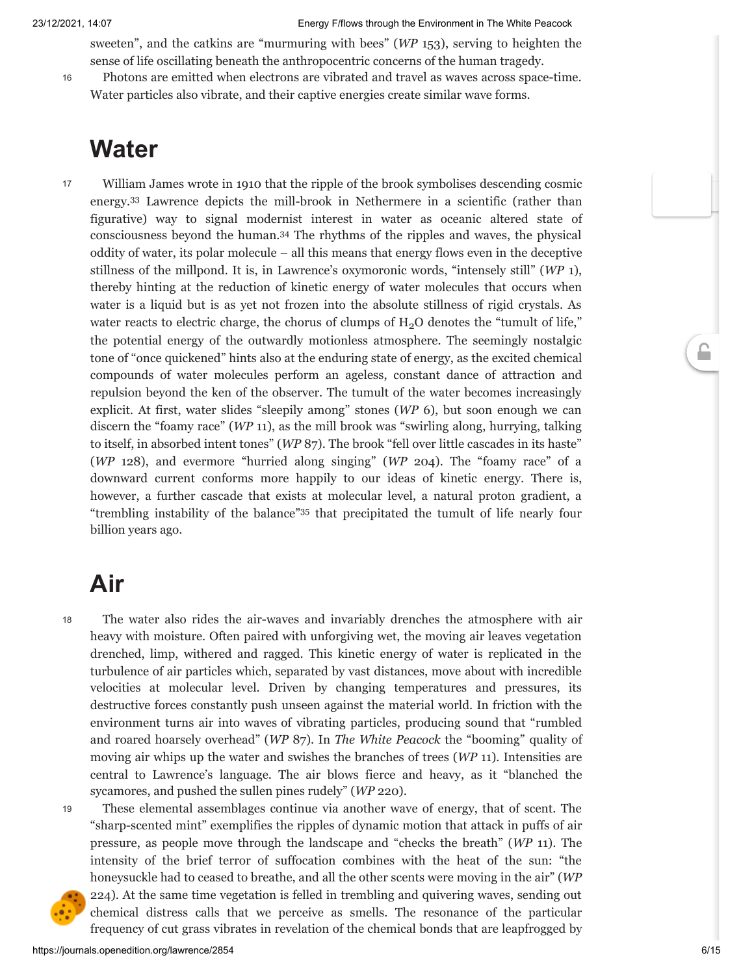sweeten", and the catkins are "murmuring with bees" (*WP* 153), serving to heighten the sense of life oscillating beneath the anthropocentric concerns of the human tragedy.

16

Photons are emitted when electrons are vibrated and travel as waves across space-time. Water particles also vibrate, and their captive energies create similar wave forms.

### **Water**

17

<span id="page-6-1"></span><span id="page-6-0"></span>William James wrote in 1910 that the ripple of the brook symbolises descending cosmic energy. [33](#page-13-17) Lawrence depicts the mill-brook in Nethermere in a scientific (rather than figurative) way to signal modernist interest in water as oceanic altered state of consciousness beyond the human. [34](#page-13-18) The rhythms of the ripples and waves, the physical oddity of water, its polar molecule – all this means that energy flows even in the deceptive stillness of the millpond. It is, in Lawrence's oxymoronic words, "intensely still" (*WP* 1), thereby hinting at the reduction of kinetic energy of water molecules that occurs when water is a liquid but is as yet not frozen into the absolute stillness of rigid crystals. As water reacts to electric charge, the chorus of clumps of  $H_2O$  denotes the "tumult of life," the potential energy of the outwardly motionless atmosphere. The seemingly nostalgic tone of "once quickened" hints also at the enduring state of energy, as the excited chemical compounds of water molecules perform an ageless, constant dance of attraction and repulsion beyond the ken of the observer. The tumult of the water becomes increasingly explicit. At first, water slides "sleepily among" stones (*WP* 6), but soon enough we can discern the "foamy race" (*WP* 11), as the mill brook was "swirling along, hurrying, talking to itself, in absorbed intent tones" (*WP* 87). The brook "fell over little cascades in its haste" (*WP* 128), and evermore "hurried along singing" (*WP* 204). The "foamy race" of a downward current conforms more happily to our ideas of kinetic energy. There is, however, a further cascade that exists at molecular level, a natural proton gradient, a "trembling instability of the balance" [35](#page-13-19) that precipitated the tumult of life nearly four billion years ago.

### <span id="page-6-2"></span>**Air**

18

The water also rides the air-waves and invariably drenches the atmosphere with air heavy with moisture. Often paired with unforgiving wet, the moving air leaves vegetation drenched, limp, withered and ragged. This kinetic energy of water is replicated in the turbulence of air particles which, separated by vast distances, move about with incredible velocities at molecular level. Driven by changing temperatures and pressures, its destructive forces constantly push unseen against the material world. In friction with the environment turns air into waves of vibrating particles, producing sound that "rumbled and roared hoarsely overhead" (*WP* 87). In *The White Peacock* the "booming" quality of moving air whips up the water and swishes the branches of trees (*WP* 11). Intensities are central to Lawrence's language. The air blows fierce and heavy, as it "blanched the sycamores, and pushed the sullen pines rudely" (*WP* 220).





"sharp-scented mint" exemplifies the ripples of dynamic motion that attack in puffs of air pressure, as people move through the landscape and "checks the breath" (*WP* 11). The intensity of the brief terror of suffocation combines with the heat of the sun: "the honeysuckle had to ceased to breathe, and all the other scents were moving in the air" (*WP* 224). At the same time vegetation is felled in trembling and quivering waves, sending out chemical distress calls that we perceive as smells. The resonance of the particular frequency of cut grass vibrates in revelation of the chemical bonds that are leapfrogged by

These elemental assemblages continue via another wave of energy, that of scent. The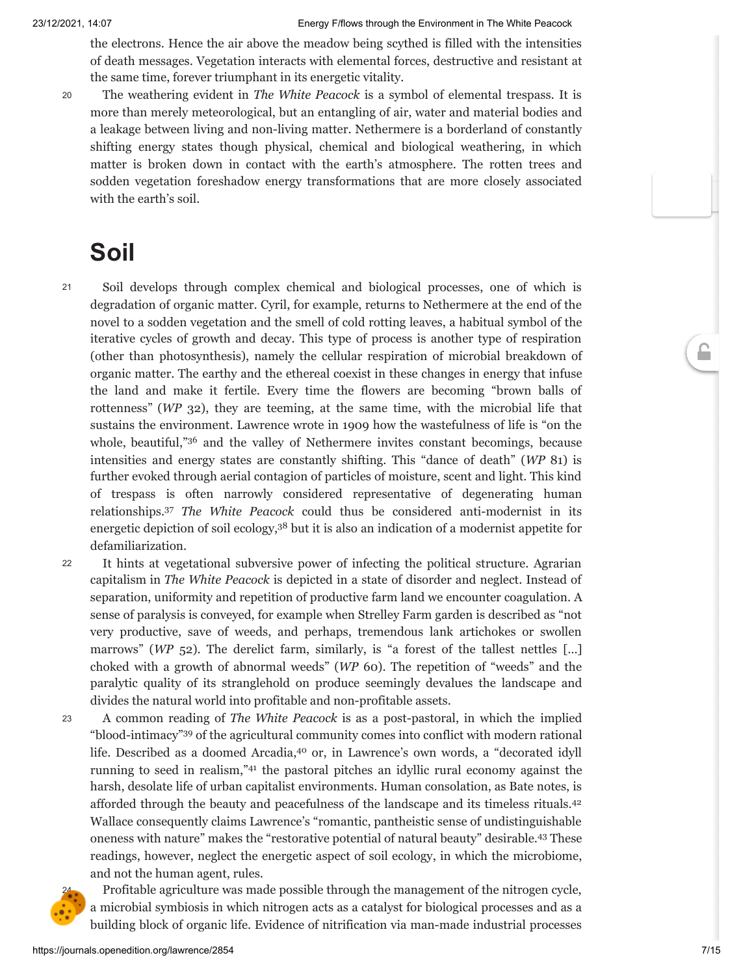the electrons. Hence the air above the meadow being scythed is filled with the intensities of death messages. Vegetation interacts with elemental forces, destructive and resistant at the same time, forever triumphant in its energetic vitality.

20

The weathering evident in *The White Peacock* is a symbol of elemental trespass. It is more than merely meteorological, but an entangling of air, water and material bodies and a leakage between living and non-living matter. Nethermere is a borderland of constantly shifting energy states though physical, chemical and biological weathering, in which matter is broken down in contact with the earth's atmosphere. The rotten trees and sodden vegetation foreshadow energy transformations that are more closely associated with the earth's soil.

### **Soil**

- Soil develops through complex chemical and biological processes, one of which is degradation of organic matter. Cyril, for example, returns to Nethermere at the end of the novel to a sodden vegetation and the smell of cold rotting leaves, a habitual symbol of the iterative cycles of growth and decay. This type of process is another type of respiration (other than photosynthesis), namely the cellular respiration of microbial breakdown of organic matter. The earthy and the ethereal coexist in these changes in energy that infuse the land and make it fertile. Every time the flowers are becoming "brown balls of rottenness" (*WP* 32), they are teeming, at the same time, with the microbial life that sustains the environment. Lawrence wrote in 1909 how the wastefulness of life is "on the whole, beautiful," [36](#page-13-20) and the valley of Nethermere invites constant becomings, because intensities and energy states are constantly shifting. This "dance of death" (*WP* 81) is further evoked through aerial contagion of particles of moisture, scent and light. This kind of trespass is often narrowly considered representative of degenerating human relationships. [37](#page-13-21) *The White Peacock* could thus be considered anti-modernist in its energetic depiction of soil ecology, [38](#page-13-22) but it is also an indication of a modernist appetite for defamiliarization. 21
- <span id="page-7-2"></span><span id="page-7-1"></span><span id="page-7-0"></span>It hints at vegetational subversive power of infecting the political structure. Agrarian capitalism in *The White Peacock* is depicted in a state of disorder and neglect. Instead of separation, uniformity and repetition of productive farm land we encounter coagulation. A sense of paralysis is conveyed, for example when Strelley Farm garden is described as "not very productive, save of weeds, and perhaps, tremendous lank artichokes or swollen marrows" (WP 52). The derelict farm, similarly, is "a forest of the tallest nettles [...] choked with a growth of abnormal weeds" (*WP* 60). The repetition of "weeds" and the paralytic quality of its stranglehold on produce seemingly devalues the landscape and divides the natural world into profitable and non-profitable assets. 22
- <span id="page-7-5"></span><span id="page-7-4"></span><span id="page-7-3"></span>A common reading of *The White Peacock* is as a post-pastoral, in which the implied "blood-intimacy" [39](#page-13-23) of the agricultural community comes into conflict with modern rational life. Described as a doomed Arcadia, [40](#page-13-24) or, in Lawrence's own words, a "decorated idyll running to seed in realism," [41](#page-13-25) the pastoral pitches an idyllic rural economy against the harsh, desolate life of urban capitalist environments. Human consolation, as Bate notes, is afforded through the beauty and peacefulness of the landscape and its timeless rituals. [42](#page-14-0) Wallace consequently claims Lawrence's "romantic, pantheistic sense of undistinguishable oneness with nature" makes the "restorative potential of natural beauty" desirable. [43](#page-14-1) These readings, however, neglect the energetic aspect of soil ecology, in which the microbiome, and not the human agent, rules. 23



<span id="page-7-7"></span><span id="page-7-6"></span>Profitable agriculture was made possible through the management of the nitrogen cycle, a microbial symbiosis in which nitrogen acts as a catalyst for biological processes and as a building block of organic life. Evidence of nitrification via man-made industrial processes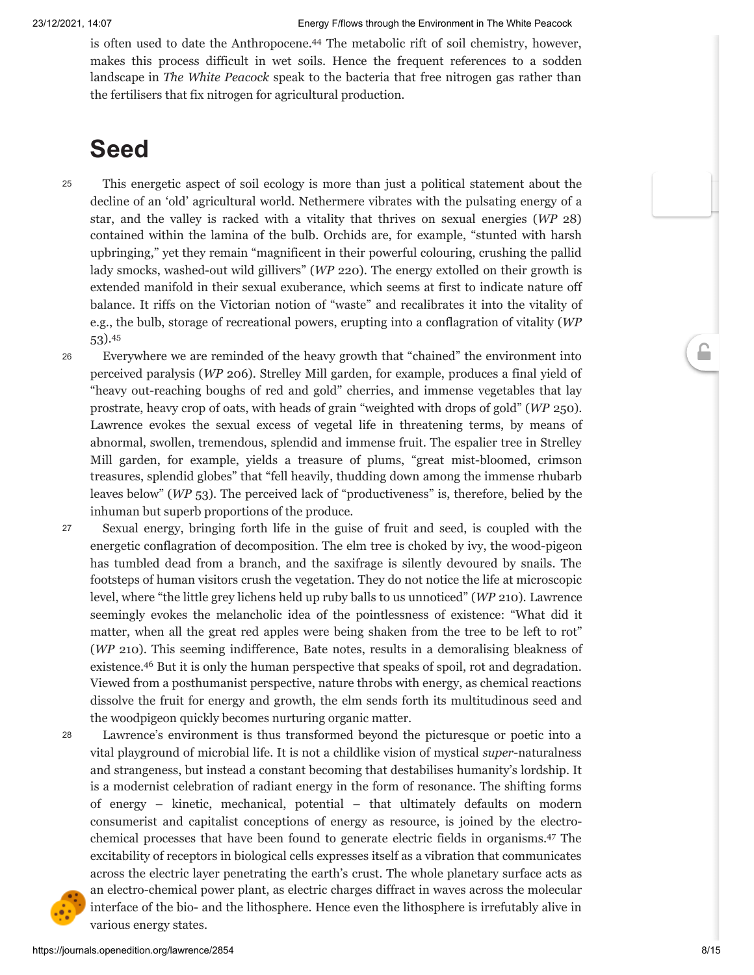<span id="page-8-0"></span>is often used to date the Anthropocene. [44](#page-14-2) The metabolic rift of soil chemistry, however, makes this process difficult in wet soils. Hence the frequent references to a sodden landscape in *The White Peacock* speak to the bacteria that free nitrogen gas rather than the fertilisers that fix nitrogen for agricultural production.

### **Seed**

25

- This energetic aspect of soil ecology is more than just a political statement about the decline of an 'old' agricultural world. Nethermere vibrates with the pulsating energy of a star, and the valley is racked with a vitality that thrives on sexual energies (*WP* 28) contained within the lamina of the bulb. Orchids are, for example, "stunted with harsh upbringing," yet they remain "magnificent in their powerful colouring, crushing the pallid lady smocks, washed-out wild gillivers" (*WP* 220). The energy extolled on their growth is extended manifold in their sexual exuberance, which seems at first to indicate nature off balance. It riffs on the Victorian notion of "waste" and recalibrates it into the vitality of e.g., the bulb, storage of recreational powers, erupting into a conflagration of vitality (*WP* 53). [45](#page-14-3)
- <span id="page-8-1"></span>Everywhere we are reminded of the heavy growth that "chained" the environment into perceived paralysis (*WP* 206). Strelley Mill garden, for example, produces a final yield of "heavy out-reaching boughs of red and gold" cherries, and immense vegetables that lay prostrate, heavy crop of oats, with heads of grain "weighted with drops of gold" (*WP* 250). Lawrence evokes the sexual excess of vegetal life in threatening terms, by means of abnormal, swollen, tremendous, splendid and immense fruit. The espalier tree in Strelley Mill garden, for example, yields a treasure of plums, "great mist-bloomed, crimson treasures, splendid globes" that "fell heavily, thudding down among the immense rhubarb leaves below" (*WP* 53). The perceived lack of "productiveness" is, therefore, belied by the inhuman but superb proportions of the produce. 26
- Sexual energy, bringing forth life in the guise of fruit and seed, is coupled with the energetic conflagration of decomposition. The elm tree is choked by ivy, the wood-pigeon has tumbled dead from a branch, and the saxifrage is silently devoured by snails. The footsteps of human visitors crush the vegetation. They do not notice the life at microscopic level, where "the little grey lichens held up ruby balls to us unnoticed" (*WP* 210). Lawrence seemingly evokes the melancholic idea of the pointlessness of existence: "What did it matter, when all the great red apples were being shaken from the tree to be left to rot" (*WP* 210). This seeming indifference, Bate notes, results in a demoralising bleakness of existence. [46](#page-14-4) But it is only the human perspective that speaks of spoil, rot and degradation. Viewed from a posthumanist perspective, nature throbs with energy, as chemical reactions dissolve the fruit for energy and growth, the elm sends forth its multitudinous seed and the woodpigeon quickly becomes nurturing organic matter. 27
- 28

<span id="page-8-3"></span><span id="page-8-2"></span>Lawrence's environment is thus transformed beyond the picturesque or poetic into a vital playground of microbial life. It is not a childlike vision of mystical *super*-naturalness and strangeness, but instead a constant becoming that destabilises humanity's lordship. It is a modernist celebration of radiant energy in the form of resonance. The shifting forms of energy – kinetic, mechanical, potential – that ultimately defaults on modern consumerist and capitalist conceptions of energy as resource, is joined by the electrochemical processes that have been found to generate electric fields in organisms. [47](#page-14-5) The excitability of receptors in biological cells expresses itself as a vibration that communicates across the electric layer penetrating the earth's crust. The whole planetary surface acts as an electro-chemical power plant, as electric charges diffract in waves across the molecular interface of the bio- and the lithosphere. Hence even the lithosphere is irrefutably alive in various energy states.

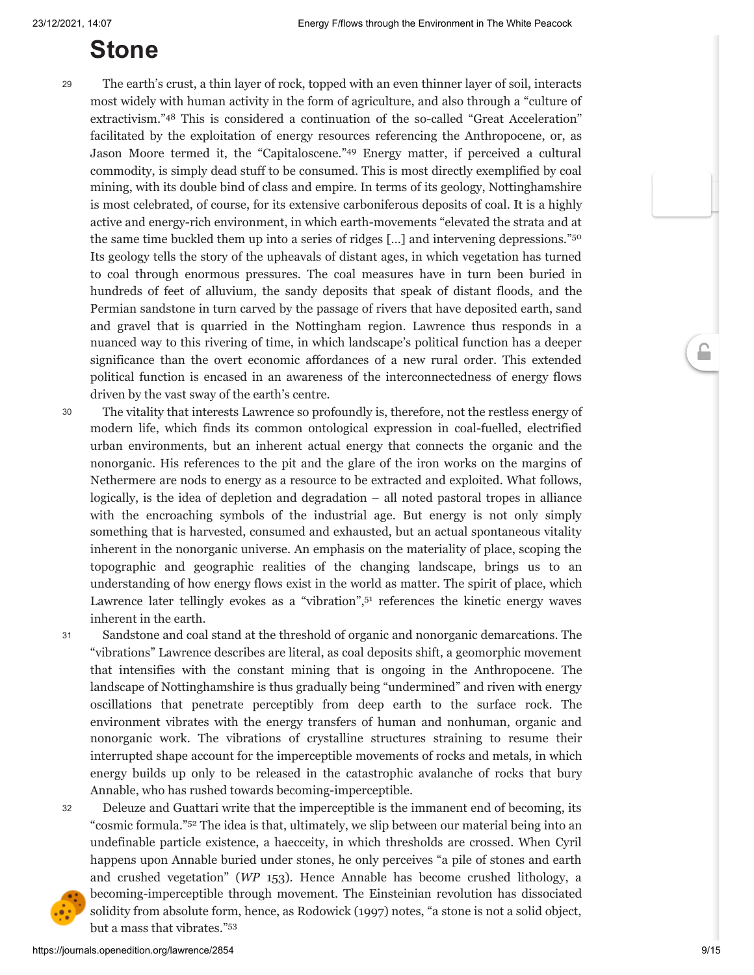### <span id="page-9-2"></span><span id="page-9-1"></span>**Stone**

29

<span id="page-9-0"></span>The earth's crust, a thin layer of rock, topped with an even thinner layer of soil, interacts most widely with human activity in the form of agriculture, and also through a "culture of extractivism." [48](#page-14-6) This is considered a continuation of the so-called "Great Acceleration" facilitated by the exploitation of energy resources referencing the Anthropocene, or, as Jason Moore termed it, the "Capitaloscene." [49](#page-14-7) Energy matter, if perceived a cultural commodity, is simply dead stuff to be consumed. This is most directly exemplified by coal mining, with its double bind of class and empire. In terms of its geology, Nottinghamshire is most celebrated, of course, for its extensive carboniferous deposits of coal. It is a highly active and energy-rich environment, in which earth-movements "elevated the strata and at the same time buckled them up into a series of ridges [...] and intervening depressions."<sup>[50](#page-14-8)</sup> Its geology tells the story of the upheavals of distant ages, in which vegetation has turned to coal through enormous pressures. The coal measures have in turn been buried in hundreds of feet of alluvium, the sandy deposits that speak of distant floods, and the Permian sandstone in turn carved by the passage of rivers that have deposited earth, sand and gravel that is quarried in the Nottingham region. Lawrence thus responds in a nuanced way to this rivering of time, in which landscape's political function has a deeper significance than the overt economic affordances of a new rural order. This extended political function is encased in an awareness of the interconnectedness of energy flows driven by the vast sway of the earth's centre.

The vitality that interests Lawrence so profoundly is, therefore, not the restless energy of modern life, which finds its common ontological expression in coal-fuelled, electrified urban environments, but an inherent actual energy that connects the organic and the nonorganic. His references to the pit and the glare of the iron works on the margins of Nethermere are nods to energy as a resource to be extracted and exploited. What follows, logically, is the idea of depletion and degradation – all noted pastoral tropes in alliance with the encroaching symbols of the industrial age. But energy is not only simply something that is harvested, consumed and exhausted, but an actual spontaneous vitality inherent in the nonorganic universe. An emphasis on the materiality of place, scoping the topographic and geographic realities of the changing landscape, brings us to an understanding of how energy flows exist in the world as matter. The spirit of place, which Lawrence later tellingly evokes as a "vibration", [51](#page-14-9) references the kinetic energy waves inherent in the earth. 30

31

<span id="page-9-3"></span>Sandstone and coal stand at the threshold of organic and nonorganic demarcations. The "vibrations" Lawrence describes are literal, as coal deposits shift, a geomorphic movement that intensifies with the constant mining that is ongoing in the Anthropocene. The landscape of Nottinghamshire is thus gradually being "undermined" and riven with energy oscillations that penetrate perceptibly from deep earth to the surface rock. The environment vibrates with the energy transfers of human and nonhuman, organic and nonorganic work. The vibrations of crystalline structures straining to resume their interrupted shape account for the imperceptible movements of rocks and metals, in which energy builds up only to be released in the catastrophic avalanche of rocks that bury Annable, who has rushed towards becoming-imperceptible.

32

<span id="page-9-4"></span>Deleuze and Guattari write that the imperceptible is the immanent end of becoming, its "cosmic formula." [52](#page-14-10) The idea is that, ultimately, we slip between our material being into an undefinable particle existence, a haecceity, in which thresholds are crossed. When Cyril happens upon Annable buried under stones, he only perceives "a pile of stones and earth and crushed vegetation" (*WP* 153). Hence Annable has become crushed lithology, a becoming-imperceptible through movement. The Einsteinian revolution has dissociated solidity from absolute form, hence, as Rodowick (1997) notes, "a stone is not a solid object, but a mass that vibrates." [53](#page-14-11)

<span id="page-9-5"></span>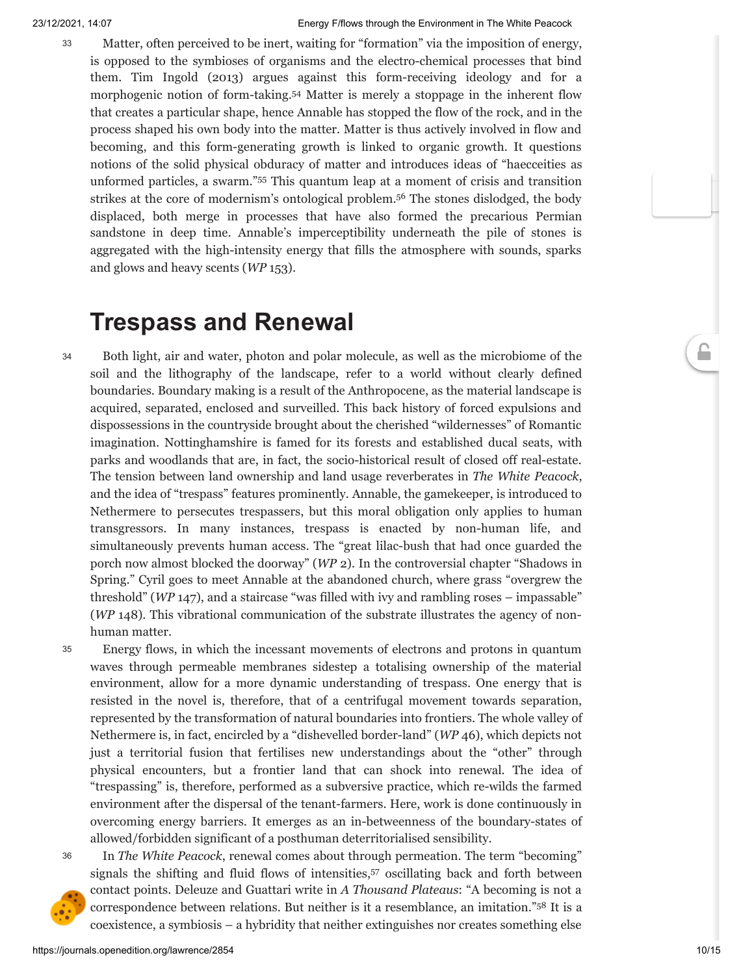<span id="page-10-0"></span>Matter, often perceived to be inert, waiting for "formation" via the imposition of energy, is opposed to the symbioses of organisms and the electro-chemical processes that bind them. Tim Ingold (2013) argues against this form-receiving ideology and for a morphogenic notion of form-taking. [54](#page-14-12) Matter is merely a stoppage in the inherent flow that creates a particular shape, hence Annable has stopped the flow of the rock, and in the process shaped his own body into the matter. Matter is thus actively involved in flow and becoming, and this form-generating growth is linked to organic growth. It questions notions of the solid physical obduracy of matter and introduces ideas of "haecceities as unformed particles, a swarm." [55](#page-14-13) This quantum leap at a moment of crisis and transition strikes at the core of modernism's ontological problem. [56](#page-14-14) The stones dislodged, the body displaced, both merge in processes that have also formed the precarious Permian sandstone in deep time. Annable's imperceptibility underneath the pile of stones is aggregated with the high-intensity energy that fills the atmosphere with sounds, sparks and glows and heavy scents (*WP* 153).

### <span id="page-10-2"></span><span id="page-10-1"></span>**Trespass and Renewal**

34

Both light, air and water, photon and polar molecule, as well as the microbiome of the soil and the lithography of the landscape, refer to a world without clearly defined boundaries. Boundary making is a result of the Anthropocene, as the material landscape is acquired, separated, enclosed and surveilled. This back history of forced expulsions and dispossessions in the countryside brought about the cherished "wildernesses" of Romantic imagination. Nottinghamshire is famed for its forests and established ducal seats, with parks and woodlands that are, in fact, the socio-historical result of closed off real-estate. The tension between land ownership and land usage reverberates in *The White Peacock*, and the idea of "trespass" features prominently. Annable, the gamekeeper, is introduced to Nethermere to persecutes trespassers, but this moral obligation only applies to human transgressors. In many instances, trespass is enacted by non-human life, and simultaneously prevents human access. The "great lilac-bush that had once guarded the porch now almost blocked the doorway" (*WP* 2). In the controversial chapter "Shadows in Spring." Cyril goes to meet Annable at the abandoned church, where grass "overgrew the threshold" (*WP* 147), and a staircase "was filled with ivy and rambling roses – impassable" (*WP* 148). This vibrational communication of the substrate illustrates the agency of nonhuman matter.

Energy flows, in which the incessant movements of electrons and protons in quantum waves through permeable membranes sidestep a totalising ownership of the material environment, allow for a more dynamic understanding of trespass. One energy that is resisted in the novel is, therefore, that of a centrifugal movement towards separation, represented by the transformation of natural boundaries into frontiers. The whole valley of Nethermere is, in fact, encircled by a "dishevelled border-land" (*WP* 46), which depicts not just a territorial fusion that fertilises new understandings about the "other" through physical encounters, but a frontier land that can shock into renewal. The idea of "trespassing" is, therefore, performed as a subversive practice, which re-wilds the farmed environment after the dispersal of the tenant-farmers. Here, work is done continuously in overcoming energy barriers. It emerges as an in-betweenness of the boundary-states of allowed/forbidden significant of a posthuman deterritorialised sensibility. 35





<span id="page-10-4"></span><span id="page-10-3"></span>In *The White Peacock*, renewal comes about through permeation. The term "becoming" signals the shifting and fluid flows of intensities, [57](#page-14-15) oscillating back and forth between contact points. Deleuze and Guattari write in *A Thousand Plateaus*: "A becoming is not a correspondence between relations. But neither is it a resemblance, an imitation." [58](#page-14-16) It is a coexistence, a symbiosis – a hybridity that neither extinguishes nor creates something else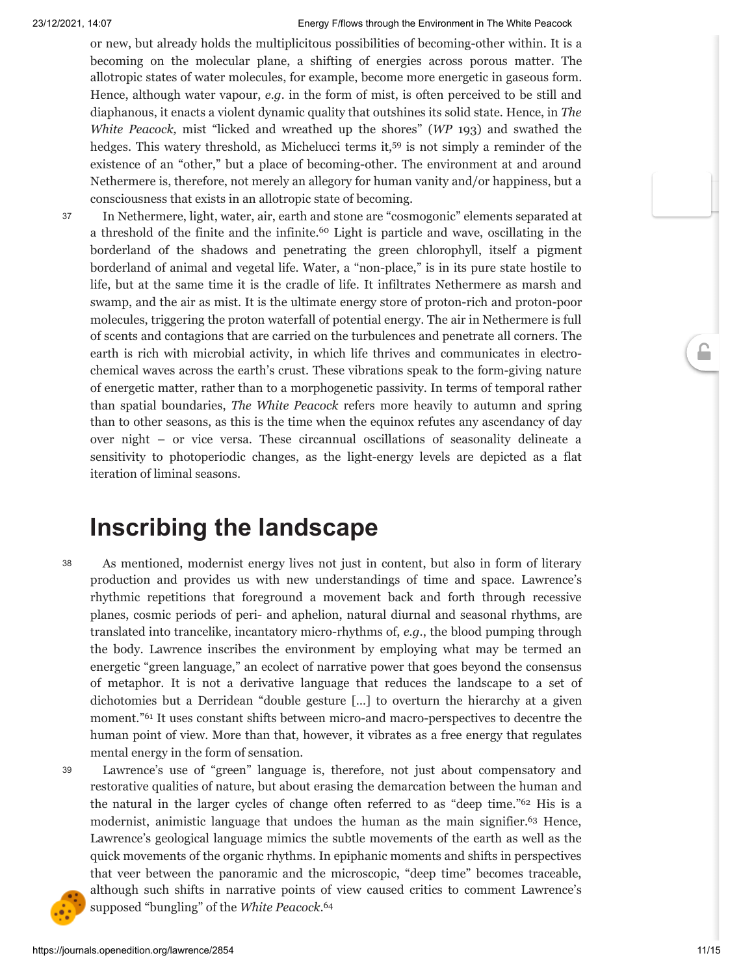or new, but already holds the multiplicitous possibilities of becoming-other within. It is a becoming on the molecular plane, a shifting of energies across porous matter. The allotropic states of water molecules, for example, become more energetic in gaseous form. Hence, although water vapour, *e.g.* in the form of mist, is often perceived to be still and diaphanous, it enacts a violent dynamic quality that outshines its solid state. Hence, in *The White Peacock,* mist "licked and wreathed up the shores" (*WP* 193) and swathed the hedges. This watery threshold, as Michelucci terms it,<sup>[59](#page-14-17)</sup> is not simply a reminder of the existence of an "other," but a place of becoming-other. The environment at and around Nethermere is, therefore, not merely an allegory for human vanity and/or happiness, but a consciousness that exists in an allotropic state of becoming.

37

<span id="page-11-1"></span><span id="page-11-0"></span>In Nethermere, light, water, air, earth and stone are "cosmogonic" elements separated at a threshold of the finite and the infinite. [60](#page-14-18) Light is particle and wave, oscillating in the borderland of the shadows and penetrating the green chlorophyll, itself a pigment borderland of animal and vegetal life. Water, a "non-place," is in its pure state hostile to life, but at the same time it is the cradle of life. It infiltrates Nethermere as marsh and swamp, and the air as mist. It is the ultimate energy store of proton-rich and proton-poor molecules, triggering the proton waterfall of potential energy. The air in Nethermere is full of scents and contagions that are carried on the turbulences and penetrate all corners. The earth is rich with microbial activity, in which life thrives and communicates in electrochemical waves across the earth's crust. These vibrations speak to the form-giving nature of energetic matter, rather than to a morphogenetic passivity. In terms of temporal rather than spatial boundaries, *The White Peacock* refers more heavily to autumn and spring than to other seasons, as this is the time when the equinox refutes any ascendancy of day over night – or vice versa. These circannual oscillations of seasonality delineate a sensitivity to photoperiodic changes, as the light-energy levels are depicted as a flat iteration of liminal seasons.

### **Inscribing the landscape**

As mentioned, modernist energy lives not just in content, but also in form of literary production and provides us with new understandings of time and space. Lawrence's rhythmic repetitions that foreground a movement back and forth through recessive planes, cosmic periods of peri- and aphelion, natural diurnal and seasonal rhythms, are translated into trancelike, incantatory micro-rhythms of, *e.g*., the blood pumping through the body. Lawrence inscribes the environment by employing what may be termed an energetic "green language," an ecolect of narrative power that goes beyond the consensus of metaphor. It is not a derivative language that reduces the landscape to a set of dichotomies but a Derridean "double gesture […] to overturn the hierarchy at a given moment." [61](#page-14-19) It uses constant shifts between micro-and macro-perspectives to decentre the human point of view. More than that, however, it vibrates as a free energy that regulates mental energy in the form of sensation. 38

39

<span id="page-11-4"></span><span id="page-11-3"></span><span id="page-11-2"></span>Lawrence's use of "green" language is, therefore, not just about compensatory and restorative qualities of nature, but about erasing the demarcation between the human and the natural in the larger cycles of change often referred to as "deep time." [62](#page-14-20) His is a modernist, animistic language that undoes the human as the main signifier. [63](#page-14-21) Hence, Lawrence's geological language mimics the subtle movements of the earth as well as the quick movements of the organic rhythms. In epiphanic moments and shifts in perspectives that veer between the panoramic and the microscopic, "deep time" becomes traceable, although such shifts in narrative points of view caused critics to comment Lawrence's supposed "bungling" of the *White Peacock*. [64](#page-14-22)

<span id="page-11-5"></span>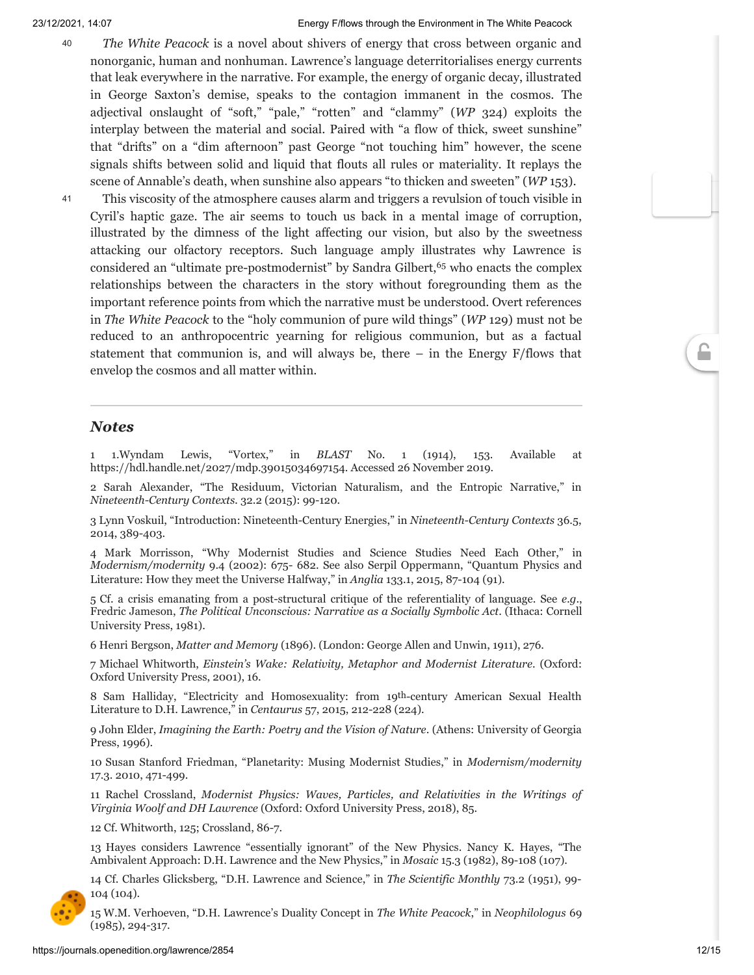- *The White Peacock* is a novel about shivers of energy that cross between organic and nonorganic, human and nonhuman. Lawrence's language deterritorialises energy currents that leak everywhere in the narrative. For example, the energy of organic decay, illustrated in George Saxton's demise, speaks to the contagion immanent in the cosmos. The adjectival onslaught of "soft," "pale," "rotten" and "clammy" (*WP* 324) exploits the interplay between the material and social. Paired with "a flow of thick, sweet sunshine" that "drifts" on a "dim afternoon" past George "not touching him" however, the scene signals shifts between solid and liquid that flouts all rules or materiality. It replays the scene of Annable's death, when sunshine also appears "to thicken and sweeten" (*WP* 153). 40
- This viscosity of the atmosphere causes alarm and triggers a revulsion of touch visible in Cyril's haptic gaze. The air seems to touch us back in a mental image of corruption, illustrated by the dimness of the light affecting our vision, but also by the sweetness attacking our olfactory receptors. Such language amply illustrates why Lawrence is considered an "ultimate pre-postmodernist" by Sandra Gilbert, [65](#page-14-23) who enacts the complex relationships between the characters in the story without foregrounding them as the important reference points from which the narrative must be understood. Overt references in *The White Peacock* to the "holy communion of pure wild things" (*WP* 129) must not be reduced to an anthropocentric yearning for religious communion, but as a factual statement that communion is, and will always be, there  $-$  in the Energy  $F/f$  lows that envelop the cosmos and all matter within. 41

#### *Notes*

<span id="page-12-0"></span>[1](#page-2-0) 1.Wyndam Lewis, "Vortex," in *BLAST* No. 1 (1914), 153. Available at <https://hdl.handle.net/2027/mdp.39015034697154>. Accessed 26 November 2019.

<span id="page-12-1"></span>[2](#page-2-1) Sarah Alexander, "The Residuum, Victorian Naturalism, and the Entropic Narrative," in *Nineteenth-Century Contexts.* 32.2 (2015): 99-120.

<span id="page-12-2"></span>[3](#page-2-2) Lynn Voskuil, "Introduction: Nineteenth-Century Energies," in *Nineteenth-Century Contexts* 36.5, 2014, 389-403.

<span id="page-12-3"></span>[4](#page-2-3) Mark Morrisson, "Why Modernist Studies and Science Studies Need Each Other," in *Modernism/modernity* 9.4 (2002): 675- 682. See also Serpil Oppermann, "Quantum Physics and Literature: How they meet the Universe Halfway," in *Anglia* 133.1, 2015, 87-104 (91).

<span id="page-12-4"></span>[5](#page-2-4) Cf. a crisis emanating from a post-structural critique of the referentiality of language. See *e.g*., Fredric Jameson, *The Political Unconscious: Narrative as a Socially Symbolic Act*. (Ithaca: Cornell University Press, 1981).

<span id="page-12-5"></span>[6](#page-2-5) Henri Bergson, *Matter and Memory* (1896). (London: George Allen and Unwin, 1911), 276.

<span id="page-12-6"></span>[7](#page-2-6) Michael Whitworth, *Einstein's Wake: Relativity, Metaphor and Modernist Literature*. (Oxford: Oxford University Press, 2001), 16.

<span id="page-12-7"></span>[8](#page-2-7) Sam Halliday, "Electricity and Homosexuality: from 19th-century American Sexual Health Literature to D.H. Lawrence," in *Centaurus* 57, 2015, 212-228 (224).

<span id="page-12-8"></span>[9](#page-3-0) John Elder, *Imagining the Earth: Poetry and the Vision of Nature*. (Athens: University of Georgia Press, 1996).

<span id="page-12-9"></span>[10](#page-3-1) Susan Stanford Friedman, "Planetarity: Musing Modernist Studies," in *Modernism/modernity* 17.3. 2010, 471-499.

<span id="page-12-10"></span>[11](#page-3-2) Rachel Crossland, *Modernist Physics: Waves, Particles, and Relativities in the Writings of Virginia Woolf and DH Lawrence* (Oxford: Oxford University Press, 2018), 85.

<span id="page-12-11"></span>[12](#page-3-3) Cf. Whitworth, 125; Crossland, 86-7.

<span id="page-12-12"></span>[13](#page-3-4) Hayes considers Lawrence "essentially ignorant" of the New Physics. Nancy K. Hayes, "The Ambivalent Approach: D.H. Lawrence and the New Physics," in *Mosaic* 15.3 (1982), 89-108 (107).

<span id="page-12-13"></span>[14](#page-3-5) Cf. Charles Glicksberg, "D.H. Lawrence and Science," in *The Scientific Monthly* 73.2 (1951), 99- 104 (104).

<span id="page-12-14"></span>[15](#page-3-6) W.M. Verhoeven, "D.H. Lawrence's Duality Concept in *The White Peacock*," in *Neophilologus* 69 (1985), 294-317.

<span id="page-12-15"></span>6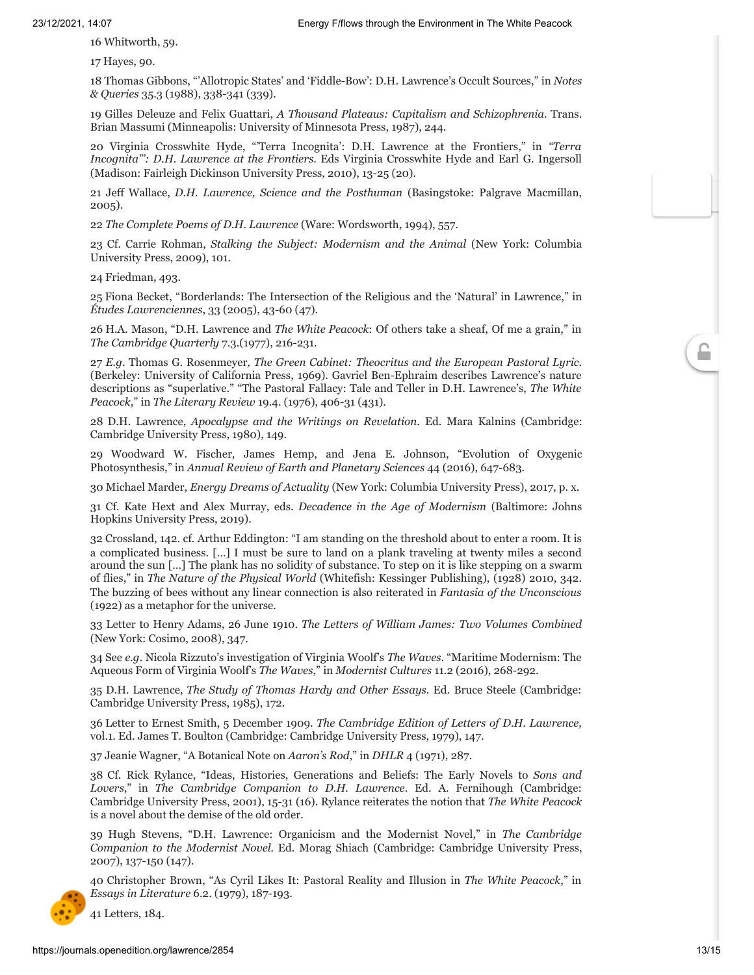<span id="page-13-0"></span>[16](#page-3-7) Whitworth, 59.

<span id="page-13-1"></span>[17](#page-3-8) Hayes, 90.

<span id="page-13-2"></span>[18](#page-3-9) Thomas Gibbons, "'Allotropic States' and 'Fiddle-Bow': D.H. Lawrence's Occult Sources," in *Notes & Queries* 35.3 (1988), 338-341 (339).

<span id="page-13-3"></span>[19](#page-3-10) Gilles Deleuze and Felix Guattari, *A Thousand Plateaus: Capitalism and Schizophrenia*. Trans. Brian Massumi (Minneapolis: University of Minnesota Press, 1987), 244.

<span id="page-13-4"></span>[20](#page-3-11) Virginia Crosswhite Hyde, "'Terra Incognita': D.H. Lawrence at the Frontiers," in *"Terra Incognita"': D.H. Lawrence at the Frontiers*. Eds Virginia Crosswhite Hyde and Earl G. Ingersoll (Madison: Fairleigh Dickinson University Press, 2010), 13-25 (20).

<span id="page-13-5"></span>[21](#page-4-0) Jeff Wallace, *D.H. Lawrence, Science and the Posthuman* (Basingstoke: Palgrave Macmillan, 2005).

<span id="page-13-6"></span>[22](#page-4-1) *The Complete Poems of D.H. Lawrence* (Ware: Wordsworth, 1994), 557.

<span id="page-13-7"></span>[23](#page-4-2) Cf. Carrie Rohman, *Stalking the Subject: Modernism and the Animal* (New York: Columbia University Press, 2009), 101.

<span id="page-13-8"></span>[24](#page-4-3) Friedman, 493.

<span id="page-13-9"></span>[25](#page-4-4) Fiona Becket, "Borderlands: The Intersection of the Religious and the 'Natural' in Lawrence," in *Études Lawrenciennes*, 33 (2005), 43-60 (47).

<span id="page-13-10"></span>[26](#page-4-5) H.A. Mason, "D.H. Lawrence and *The White Peacock*: Of others take a sheaf, Of me a grain," in *The Cambridge Quarterly* 7.3.(1977), 216-231.

<span id="page-13-11"></span>[27](#page-4-6) *E.g*. Thomas G. Rosenmeyer*, The Green Cabinet: Theocritus and the European Pastoral Lyric*. (Berkeley: University of California Press, 1969). Gavriel Ben-Ephraim describes Lawrence's nature descriptions as "superlative." "The Pastoral Fallacy: Tale and Teller in D.H. Lawrence's, *The White Peacock*," in *The Literary Review* 19.4. (1976), 406-31 (431).

<span id="page-13-12"></span>[28](#page-4-7) D.H. Lawrence, *Apocalypse and the Writings on Revelation*. Ed. Mara Kalnins (Cambridge: Cambridge University Press, 1980), 149.

<span id="page-13-13"></span>[29](#page-5-0) Woodward W. Fischer, James Hemp, and Jena E. Johnson, "Evolution of Oxygenic Photosynthesis," in *Annual Review of Earth and Planetary Sciences* 44 (2016), 647-683.

<span id="page-13-14"></span>[30](#page-5-1) Michael Marder, *Energy Dreams of Actuality* (New York: Columbia University Press), 2017, p. x.

<span id="page-13-15"></span>[31](#page-5-2) Cf. Kate Hext and Alex Murray, eds. *Decadence in the Age of Modernism* (Baltimore: Johns Hopkins University Press, 2019).

<span id="page-13-16"></span>[32](#page-5-3) Crossland, 142. cf. Arthur Eddington: "I am standing on the threshold about to enter a room. It is a complicated business. […] I must be sure to land on a plank traveling at twenty miles a second around the sun […] The plank has no solidity of substance. To step on it is like stepping on a swarm of flies," in *The Nature of the Physical World* (Whitefish: Kessinger Publishing), (1928) 2010, 342. The buzzing of bees without any linear connection is also reiterated in *Fantasia of the Unconscious* (1922) as a metaphor for the universe.

<span id="page-13-17"></span>[33](#page-6-0) Letter to Henry Adams, 26 June 1910. *The Letters of William James: Two Volumes Combined* (New York: Cosimo, 2008), 347.

<span id="page-13-18"></span>[34](#page-6-1) See *e.g*. Nicola Rizzuto's investigation of Virginia Woolf's *The Waves*. "Maritime Modernism: The Aqueous Form of Virginia Woolf's *The Waves*," in *Modernist Cultures* 11.2 (2016), 268-292.

<span id="page-13-19"></span>[35](#page-6-2) D.H. Lawrence, *The Study of Thomas Hardy and Other Essays*. Ed. Bruce Steele (Cambridge: Cambridge University Press, 1985), 172.

<span id="page-13-20"></span>[36](#page-7-0) Letter to Ernest Smith, 5 December 1909. *The Cambridge Edition of Letters of D.H. Lawrence,* vol.1. Ed. James T. Boulton (Cambridge: Cambridge University Press, 1979), 147.

<span id="page-13-21"></span>[37](#page-7-1) Jeanie Wagner, "A Botanical Note on *Aaron's Rod*," in *DHLR* 4 (1971), 287.

<span id="page-13-22"></span>[38](#page-7-2) Cf. Rick Rylance, "Ideas, Histories, Generations and Beliefs: The Early Novels to *Sons and Lovers*," in *The Cambridge Companion to D.H. Lawrence*. Ed. A. Fernihough (Cambridge: Cambridge University Press, 2001), 15-31 (16). Rylance reiterates the notion that *The White Peacock* is a novel about the demise of the old order.

<span id="page-13-23"></span>[39](#page-7-3) Hugh Stevens, "D.H. Lawrence: Organicism and the Modernist Novel," in *The Cambridge Companion to the Modernist Novel.* Ed. Morag Shiach (Cambridge: Cambridge University Press, 2007), 137-150 (147).

<span id="page-13-24"></span>[40](#page-7-4) Christopher Brown, "As Cyril Likes It: Pastoral Reality and Illusion in *The White Peacock*," in *Essays in Literature* 6.2. (1979), 187-193.

<span id="page-13-25"></span>[41](#page-7-5) Letters, 184.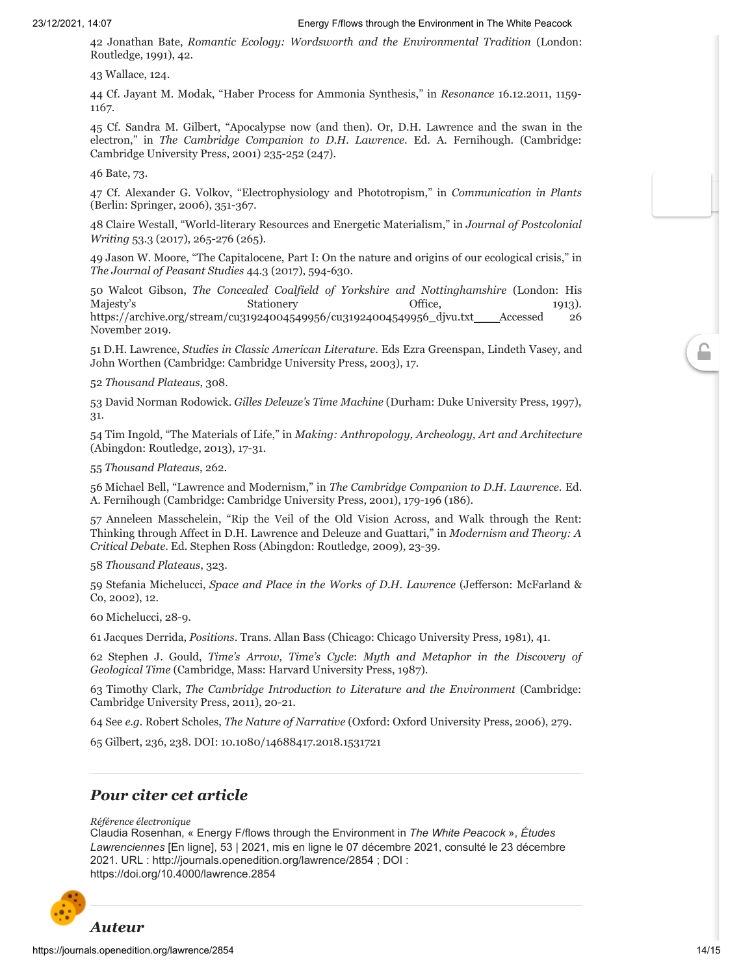<span id="page-14-0"></span>[42](#page-7-6) Jonathan Bate, *Romantic Ecology: Wordsworth and the Environmental Tradition* (London: Routledge, 1991), 42.

<span id="page-14-1"></span>[43](#page-7-7) Wallace, 124.

<span id="page-14-2"></span>[44](#page-8-0) Cf. Jayant M. Modak, "Haber Process for Ammonia Synthesis," in *Resonance* 16.12.2011, 1159- 1167.

<span id="page-14-3"></span>[45](#page-8-1) Cf. Sandra M. Gilbert, "Apocalypse now (and then). Or, D.H. Lawrence and the swan in the electron," in *The Cambridge Companion to D.H. Lawrence*. Ed. A. Fernihough. (Cambridge: Cambridge University Press, 2001) 235-252 (247).

<span id="page-14-4"></span>[46](#page-8-2) Bate, 73.

<span id="page-14-5"></span>[47](#page-8-3) Cf. Alexander G. Volkov, "Electrophysiology and Phototropism," in *Communication in Plants* (Berlin: Springer, 2006), 351-367.

<span id="page-14-6"></span>[48](#page-9-0) Claire Westall, "World-literary Resources and Energetic Materialism," in *Journal of Postcolonial Writing* 53.3 (2017), 265-276 (265).

<span id="page-14-7"></span>[49](#page-9-1) Jason W. Moore, "The Capitalocene, Part I: On the nature and origins of our ecological crisis," in *The Journal of Peasant Studies* 44.3 (2017), 594-630.

<span id="page-14-8"></span>[50](#page-9-2) Walcot Gibson, *The Concealed Coalfield of Yorkshire and Nottinghamshire* (London: His Majesty's Stationery Geogle Stationery Stationery Stationery 1913). [https://archive.org/stream/cu31924004549956/cu31924004549956\\_djvu.txt](https://archive.org/stream/cu31924004549956/cu31924004549956_djvu.txt) \_\_\_\_Accessed 26 November 2019.

<span id="page-14-9"></span>[51](#page-9-3) D.H. Lawrence, *Studies in Classic American Literature*. Eds Ezra Greenspan, Lindeth Vasey, and John Worthen (Cambridge: Cambridge University Press, 2003), 17.

<span id="page-14-10"></span>[52](#page-9-4) *Thousand Plateaus*, 308.

<span id="page-14-11"></span>[53](#page-9-5) David Norman Rodowick. *Gilles Deleuze's Time Machine* (Durham: Duke University Press, 1997), 31.

<span id="page-14-12"></span>[54](#page-10-0) Tim Ingold, "The Materials of Life," in *Making: Anthropology, Archeology, Art and Architecture* (Abingdon: Routledge, 2013), 17-31.

<span id="page-14-13"></span>[55](#page-10-1) *Thousand Plateaus*, 262.

<span id="page-14-14"></span>[56](#page-10-2) Michael Bell, "Lawrence and Modernism," in *The Cambridge Companion to D.H. Lawrence*. Ed. A. Fernihough (Cambridge: Cambridge University Press, 2001), 179-196 (186).

<span id="page-14-15"></span>[57](#page-10-3) Anneleen Masschelein, "Rip the Veil of the Old Vision Across, and Walk through the Rent: Thinking through Affect in D.H. Lawrence and Deleuze and Guattari," in *Modernism and Theory: A Critical Debate*. Ed. Stephen Ross (Abingdon: Routledge, 2009), 23-39.

<span id="page-14-16"></span>[58](#page-10-4) *Thousand Plateaus*, 323.

<span id="page-14-17"></span>[59](#page-11-0) Stefania Michelucci, *Space and Place in the Works of D.H. Lawrence* (Jefferson: McFarland & Co, 2002), 12.

<span id="page-14-18"></span>[60](#page-11-1) Michelucci, 28-9.

<span id="page-14-19"></span>[61](#page-11-2) Jacques Derrida, *Positions*. Trans. Allan Bass (Chicago: Chicago University Press, 1981), 41.

<span id="page-14-20"></span>[62](#page-11-3) Stephen J. Gould, *Time's Arrow, Time's Cycle*: *Myth and Metaphor in the Discovery of Geological Time* (Cambridge, Mass: Harvard University Press, 1987).

<span id="page-14-21"></span>[63](#page-11-4) Timothy Clark, *The Cambridge Introduction to Literature and the Environment* (Cambridge: Cambridge University Press, 2011), 20-21.

<span id="page-14-22"></span>[64](#page-11-5) See *e.g.* Robert Scholes, *The Nature of Narrative* (Oxford: Oxford University Press, 2006), 279.

<span id="page-14-23"></span>[65](#page-12-15) Gilbert, 236, 238. DOI: 10.1080/14688417.2018.1531721

#### *Pour citer cet article*

*Référence électronique*

Claudia Rosenhan, « Energy F/flows through the Environment in *The White Peacock* », *Études Lawrenciennes* [En ligne], 53 | 2021, mis en ligne le 07 décembre 2021, consulté le 23 décembre 2021. URL : http://journals.openedition.org/lawrence/2854 ; DOI : https://doi.org/10.4000/lawrence.2854